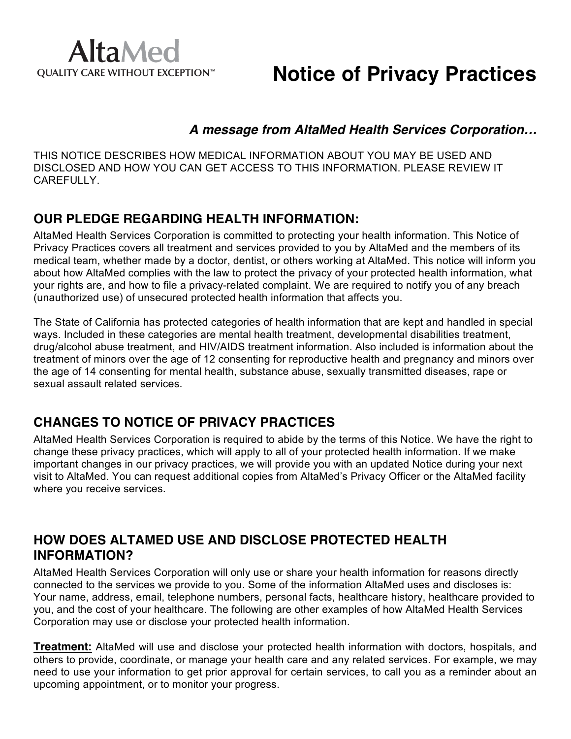

### **Notice of Privacy Practices**

#### *A message from AltaMed Health Services Corporation…*

THIS NOTICE DESCRIBES HOW MEDICAL INFORMATION ABOUT YOU MAY BE USED AND DISCLOSED AND HOW YOU CAN GET ACCESS TO THIS INFORMATION. PLEASE REVIEW IT CAREFULLY.

### **OUR PLEDGE REGARDING HEALTH INFORMATION:**

AltaMed Health Services Corporation is committed to protecting your health information. This Notice of Privacy Practices covers all treatment and services provided to you by AltaMed and the members of its medical team, whether made by a doctor, dentist, or others working at AltaMed. This notice will inform you about how AltaMed complies with the law to protect the privacy of your protected health information, what your rights are, and how to file a privacy-related complaint. We are required to notify you of any breach (unauthorized use) of unsecured protected health information that affects you.

The State of California has protected categories of health information that are kept and handled in special ways. Included in these categories are mental health treatment, developmental disabilities treatment, drug/alcohol abuse treatment, and HIV/AIDS treatment information. Also included is information about the treatment of minors over the age of 12 consenting for reproductive health and pregnancy and minors over the age of 14 consenting for mental health, substance abuse, sexually transmitted diseases, rape or sexual assault related services.

### **CHANGES TO NOTICE OF PRIVACY PRACTICES**

AltaMed Health Services Corporation is required to abide by the terms of this Notice. We have the right to change these privacy practices, which will apply to all of your protected health information. If we make important changes in our privacy practices, we will provide you with an updated Notice during your next visit to AltaMed. You can request additional copies from AltaMed's Privacy Officer or the AltaMed facility where you receive services.

### **HOW DOES ALTAMED USE AND DISCLOSE PROTECTED HEALTH INFORMATION?**

AltaMed Health Services Corporation will only use or share your health information for reasons directly connected to the services we provide to you. Some of the information AltaMed uses and discloses is: Your name, address, email, telephone numbers, personal facts, healthcare history, healthcare provided to you, and the cost of your healthcare. The following are other examples of how AltaMed Health Services Corporation may use or disclose your protected health information.

**Treatment:** AltaMed will use and disclose your protected health information with doctors, hospitals, and others to provide, coordinate, or manage your health care and any related services. For example, we may need to use your information to get prior approval for certain services, to call you as a reminder about an upcoming appointment, or to monitor your progress.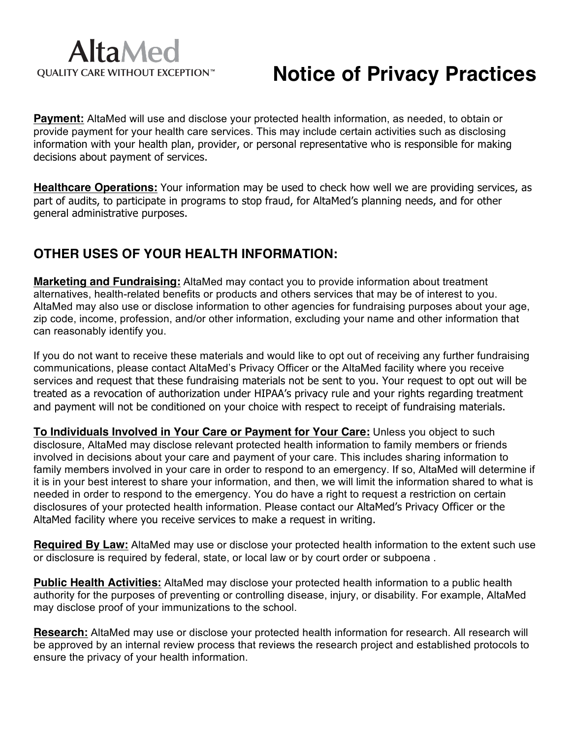# **AltaMed** QUALITY CARE WITHOUT EXCEPTION™

# **Notice of Privacy Practices**

**Payment:** AltaMed will use and disclose your protected health information, as needed, to obtain or provide payment for your health care services. This may include certain activities such as disclosing information with your health plan, provider, or personal representative who is responsible for making decisions about payment of services.

**Healthcare Operations:** Your information may be used to check how well we are providing services, as part of audits, to participate in programs to stop fraud, for AltaMed's planning needs, and for other general administrative purposes.

### **OTHER USES OF YOUR HEALTH INFORMATION:**

**Marketing and Fundraising:** AltaMed may contact you to provide information about treatment alternatives, health-related benefits or products and others services that may be of interest to you. AltaMed may also use or disclose information to other agencies for fundraising purposes about your age, zip code, income, profession, and/or other information, excluding your name and other information that can reasonably identify you.

If you do not want to receive these materials and would like to opt out of receiving any further fundraising communications, please contact AltaMed's Privacy Officer or the AltaMed facility where you receive services and request that these fundraising materials not be sent to you. Your request to opt out will be treated as a revocation of authorization under HIPAA's privacy rule and your rights regarding treatment and payment will not be conditioned on your choice with respect to receipt of fundraising materials.

**To Individuals Involved in Your Care or Payment for Your Care:** Unless you object to such disclosure, AltaMed may disclose relevant protected health information to family members or friends involved in decisions about your care and payment of your care. This includes sharing information to family members involved in your care in order to respond to an emergency. If so, AltaMed will determine if it is in your best interest to share your information, and then, we will limit the information shared to what is needed in order to respond to the emergency. You do have a right to request a restriction on certain disclosures of your protected health information. Please contact our AltaMed's Privacy Officer or the AltaMed facility where you receive services to make a request in writing.

**Required By Law:** AltaMed may use or disclose your protected health information to the extent such use or disclosure is required by federal, state, or local law or by court order or subpoena .

**Public Health Activities:** AltaMed may disclose your protected health information to a public health authority for the purposes of preventing or controlling disease, injury, or disability. For example, AltaMed may disclose proof of your immunizations to the school.

**Research:** AltaMed may use or disclose your protected health information for research. All research will be approved by an internal review process that reviews the research project and established protocols to ensure the privacy of your health information.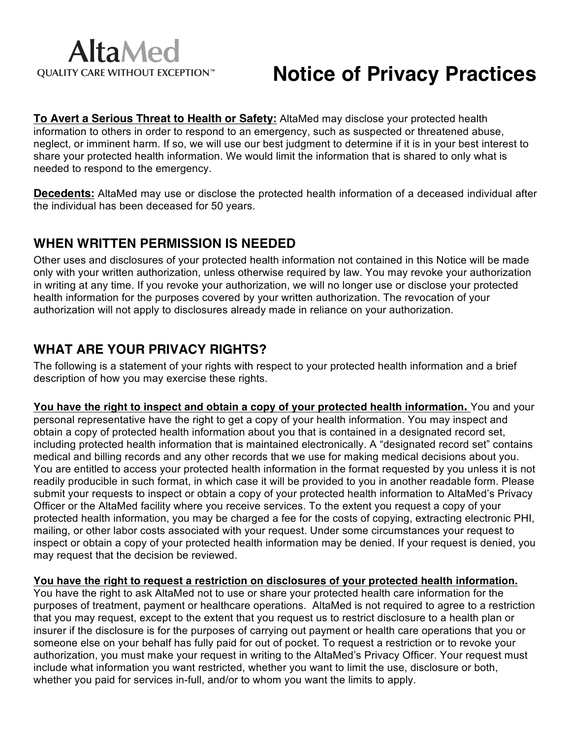# **Notice of Privacy Practices**

**To Avert a Serious Threat to Health or Safety:** AltaMed may disclose your protected health information to others in order to respond to an emergency, such as suspected or threatened abuse, neglect, or imminent harm. If so, we will use our best judgment to determine if it is in your best interest to share your protected health information. We would limit the information that is shared to only what is needed to respond to the emergency.

**Decedents:** AltaMed may use or disclose the protected health information of a deceased individual after the individual has been deceased for 50 years.

### **WHEN WRITTEN PERMISSION IS NEEDED**

Other uses and disclosures of your protected health information not contained in this Notice will be made only with your written authorization, unless otherwise required by law. You may revoke your authorization in writing at any time. If you revoke your authorization, we will no longer use or disclose your protected health information for the purposes covered by your written authorization. The revocation of your authorization will not apply to disclosures already made in reliance on your authorization.

### **WHAT ARE YOUR PRIVACY RIGHTS?**

The following is a statement of your rights with respect to your protected health information and a brief description of how you may exercise these rights.

**You have the right to inspect and obtain a copy of your protected health information.** You and your personal representative have the right to get a copy of your health information. You may inspect and obtain a copy of protected health information about you that is contained in a designated record set, including protected health information that is maintained electronically. A "designated record set" contains medical and billing records and any other records that we use for making medical decisions about you. You are entitled to access your protected health information in the format requested by you unless it is not readily producible in such format, in which case it will be provided to you in another readable form. Please submit your requests to inspect or obtain a copy of your protected health information to AltaMed's Privacy Officer or the AltaMed facility where you receive services. To the extent you request a copy of your protected health information, you may be charged a fee for the costs of copying, extracting electronic PHI, mailing, or other labor costs associated with your request. Under some circumstances your request to inspect or obtain a copy of your protected health information may be denied. If your request is denied, you may request that the decision be reviewed.

#### **You have the right to request a restriction on disclosures of your protected health information.**

You have the right to ask AltaMed not to use or share your protected health care information for the purposes of treatment, payment or healthcare operations. AltaMed is not required to agree to a restriction that you may request, except to the extent that you request us to restrict disclosure to a health plan or insurer if the disclosure is for the purposes of carrying out payment or health care operations that you or someone else on your behalf has fully paid for out of pocket. To request a restriction or to revoke your authorization, you must make your request in writing to the AltaMed's Privacy Officer. Your request must include what information you want restricted, whether you want to limit the use, disclosure or both, whether you paid for services in-full, and/or to whom you want the limits to apply.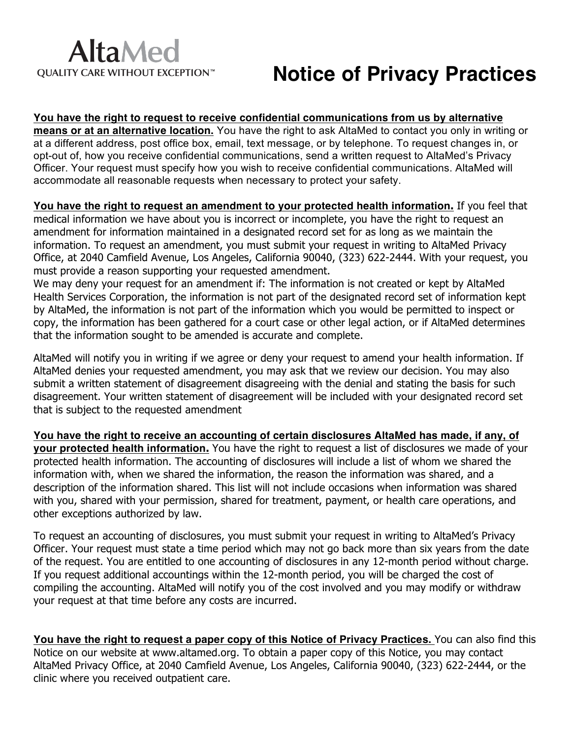# **AltaMed** QUALITY CARE WITHOUT EXCEPTION™

# **Notice of Privacy Practices**

**You have the right to request to receive confidential communications from us by alternative means or at an alternative location.** You have the right to ask AltaMed to contact you only in writing or at a different address, post office box, email, text message, or by telephone. To request changes in, or opt-out of, how you receive confidential communications, send a written request to AltaMed's Privacy Officer. Your request must specify how you wish to receive confidential communications. AltaMed will accommodate all reasonable requests when necessary to protect your safety.

**You have the right to request an amendment to your protected health information.** If you feel that medical information we have about you is incorrect or incomplete, you have the right to request an amendment for information maintained in a designated record set for as long as we maintain the information. To request an amendment, you must submit your request in writing to AltaMed Privacy Office, at 2040 Camfield Avenue, Los Angeles, California 90040, (323) 622-2444. With your request, you must provide a reason supporting your requested amendment.

We may deny your request for an amendment if: The information is not created or kept by AltaMed Health Services Corporation, the information is not part of the designated record set of information kept by AltaMed, the information is not part of the information which you would be permitted to inspect or copy, the information has been gathered for a court case or other legal action, or if AltaMed determines that the information sought to be amended is accurate and complete.

AltaMed will notify you in writing if we agree or deny your request to amend your health information. If AltaMed denies your requested amendment, you may ask that we review our decision. You may also submit a written statement of disagreement disagreeing with the denial and stating the basis for such disagreement. Your written statement of disagreement will be included with your designated record set that is subject to the requested amendment

**You have the right to receive an accounting of certain disclosures AltaMed has made, if any, of your protected health information.** You have the right to request a list of disclosures we made of your protected health information. The accounting of disclosures will include a list of whom we shared the information with, when we shared the information, the reason the information was shared, and a description of the information shared. This list will not include occasions when information was shared with you, shared with your permission, shared for treatment, payment, or health care operations, and other exceptions authorized by law.

To request an accounting of disclosures, you must submit your request in writing to AltaMed's Privacy Officer. Your request must state a time period which may not go back more than six years from the date of the request. You are entitled to one accounting of disclosures in any 12-month period without charge. If you request additional accountings within the 12-month period, you will be charged the cost of compiling the accounting. AltaMed will notify you of the cost involved and you may modify or withdraw your request at that time before any costs are incurred.

**You have the right to request a paper copy of this Notice of Privacy Practices.** You can also find this Notice on our website at www.altamed.org. To obtain a paper copy of this Notice, you may contact AltaMed Privacy Office, at 2040 Camfield Avenue, Los Angeles, California 90040, (323) 622-2444, or the clinic where you received outpatient care.